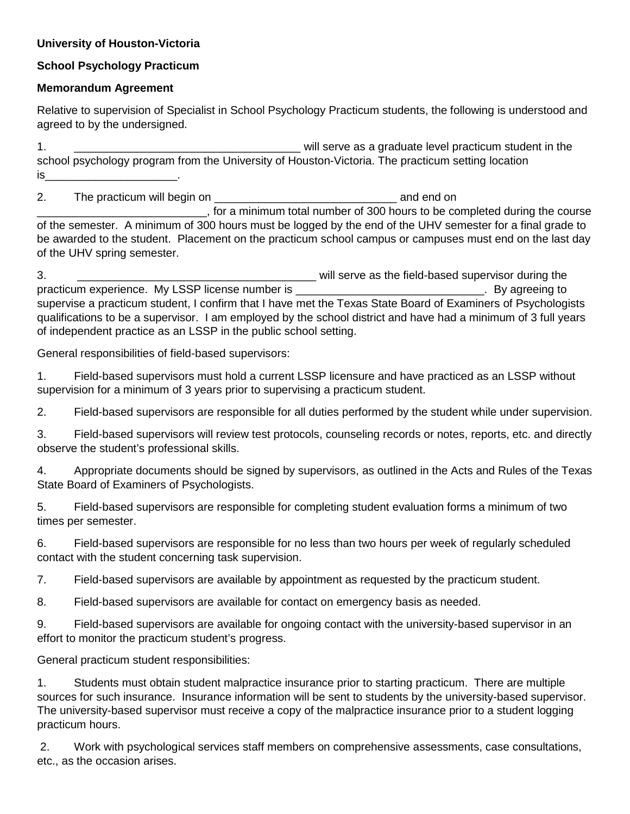#### **University of Houston-Victoria**

# **School Psychology Practicum**

### **Memorandum Agreement**

Relative to supervision of Specialist in School Psychology Practicum students, the following is understood and agreed to by the undersigned.

1. \_\_\_\_\_\_\_\_\_\_\_\_\_\_\_\_\_\_\_\_\_\_\_\_\_\_\_\_\_\_\_\_\_\_\_\_ will serve as a graduate level practicum student in the school psychology program from the University of Houston-Victoria. The practicum setting location is\_\_\_\_\_\_\_\_\_\_\_\_\_\_\_\_\_\_\_\_\_\_\_\_\_\_\_\_\_\_\_\_\_\_.

2. The practicum will begin on \_\_\_\_\_\_\_\_\_\_\_\_\_\_\_\_\_\_\_\_\_\_\_\_\_\_\_\_\_ and end on \_\_\_\_\_\_\_\_\_\_\_\_\_\_\_\_\_\_\_\_\_\_\_\_\_\_\_, for a minimum total number of 300 hours to be completed during the course of the semester. A minimum of 300 hours must be logged by the end of the UHV semester for a final grade to be awarded to the student. Placement on the practicum school campus or campuses must end on the last day of the UHV spring semester.

3. \_\_\_\_\_\_\_\_\_\_\_\_\_\_\_\_\_\_\_\_\_\_\_\_\_\_\_\_\_\_\_\_\_\_\_\_\_\_ will serve as the field-based supervisor during the practicum experience. My LSSP license number is \_\_\_\_\_\_\_\_\_\_\_\_\_\_\_\_\_\_\_\_\_\_\_\_\_\_\_\_\_\_\_\_\_. By agreeing to supervise a practicum student, I confirm that I have met the Texas State Board of Examiners of Psychologists qualifications to be a supervisor. I am employed by the school district and have had a minimum of 3 full years of independent practice as an LSSP in the public school setting.

General responsibilities of field-based supervisors:

1. Field-based supervisors must hold a current LSSP licensure and have practiced as an LSSP without supervision for a minimum of 3 years prior to supervising a practicum student.

2. Field-based supervisors are responsible for all duties performed by the student while under supervision.

3. Field-based supervisors will review test protocols, counseling records or notes, reports, etc. and directly observe the student's professional skills.

4. Appropriate documents should be signed by supervisors, as outlined in the Acts and Rules of the Texas State Board of Examiners of Psychologists.

5. Field-based supervisors are responsible for completing student evaluation forms a minimum of two times per semester.

6. Field-based supervisors are responsible for no less than two hours per week of regularly scheduled contact with the student concerning task supervision.

7. Field-based supervisors are available by appointment as requested by the practicum student.

8. Field-based supervisors are available for contact on emergency basis as needed.

9. Field-based supervisors are available for ongoing contact with the university-based supervisor in an effort to monitor the practicum student's progress.

General practicum student responsibilities:

1. Students must obtain student malpractice insurance prior to starting practicum. There are multiple sources for such insurance. Insurance information will be sent to students by the university-based supervisor. The university-based supervisor must receive a copy of the malpractice insurance prior to a student logging practicum hours.

2. Work with psychological services staff members on comprehensive assessments, case consultations, etc., as the occasion arises.